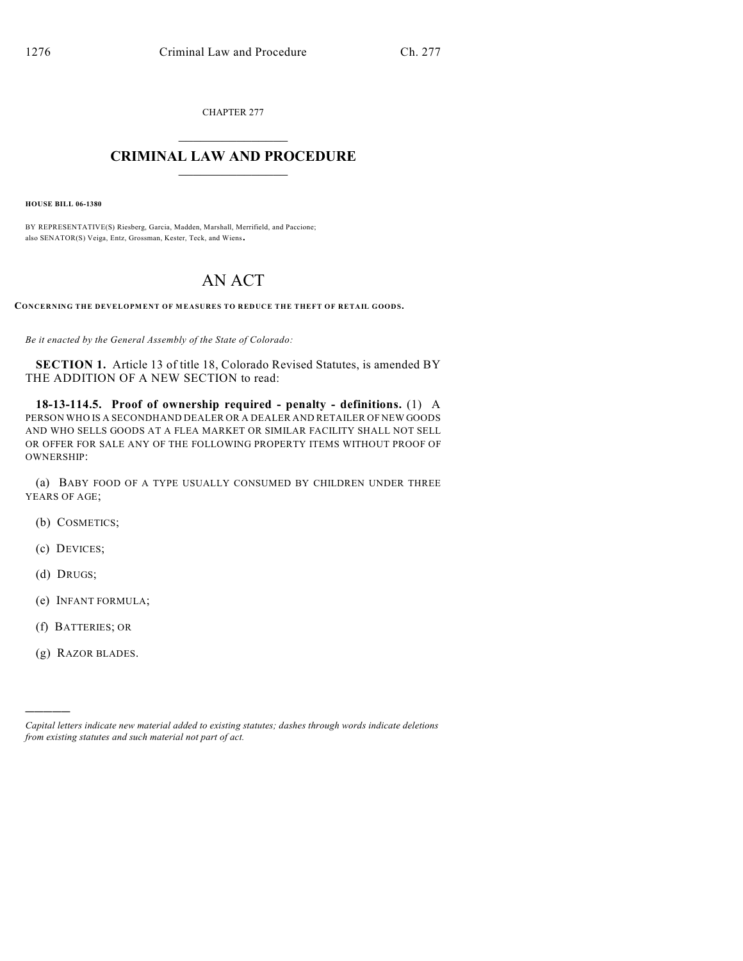CHAPTER 277

## $\overline{\phantom{a}}$  . The set of the set of the set of the set of the set of the set of the set of the set of the set of the set of the set of the set of the set of the set of the set of the set of the set of the set of the set o **CRIMINAL LAW AND PROCEDURE**  $\frac{1}{2}$  ,  $\frac{1}{2}$  ,  $\frac{1}{2}$  ,  $\frac{1}{2}$  ,  $\frac{1}{2}$  ,  $\frac{1}{2}$  ,  $\frac{1}{2}$

**HOUSE BILL 06-1380**

BY REPRESENTATIVE(S) Riesberg, Garcia, Madden, Marshall, Merrifield, and Paccione; also SENATOR(S) Veiga, Entz, Grossman, Kester, Teck, and Wiens.

## AN ACT

**CONCERNING THE DEVELOPMENT OF MEASURES TO REDUCE THE THEFT OF RETAIL GOODS.**

*Be it enacted by the General Assembly of the State of Colorado:*

**SECTION 1.** Article 13 of title 18, Colorado Revised Statutes, is amended BY THE ADDITION OF A NEW SECTION to read:

**18-13-114.5. Proof of ownership required - penalty - definitions.** (1) A PERSON WHO IS A SECONDHAND DEALER OR A DEALER AND RETAILER OF NEW GOODS AND WHO SELLS GOODS AT A FLEA MARKET OR SIMILAR FACILITY SHALL NOT SELL OR OFFER FOR SALE ANY OF THE FOLLOWING PROPERTY ITEMS WITHOUT PROOF OF OWNERSHIP:

(a) BABY FOOD OF A TYPE USUALLY CONSUMED BY CHILDREN UNDER THREE YEARS OF AGE;

- (b) COSMETICS;
- (c) DEVICES;
- (d) DRUGS;

)))))

- (e) INFANT FORMULA;
- (f) BATTERIES; OR
- (g) RAZOR BLADES.

*Capital letters indicate new material added to existing statutes; dashes through words indicate deletions from existing statutes and such material not part of act.*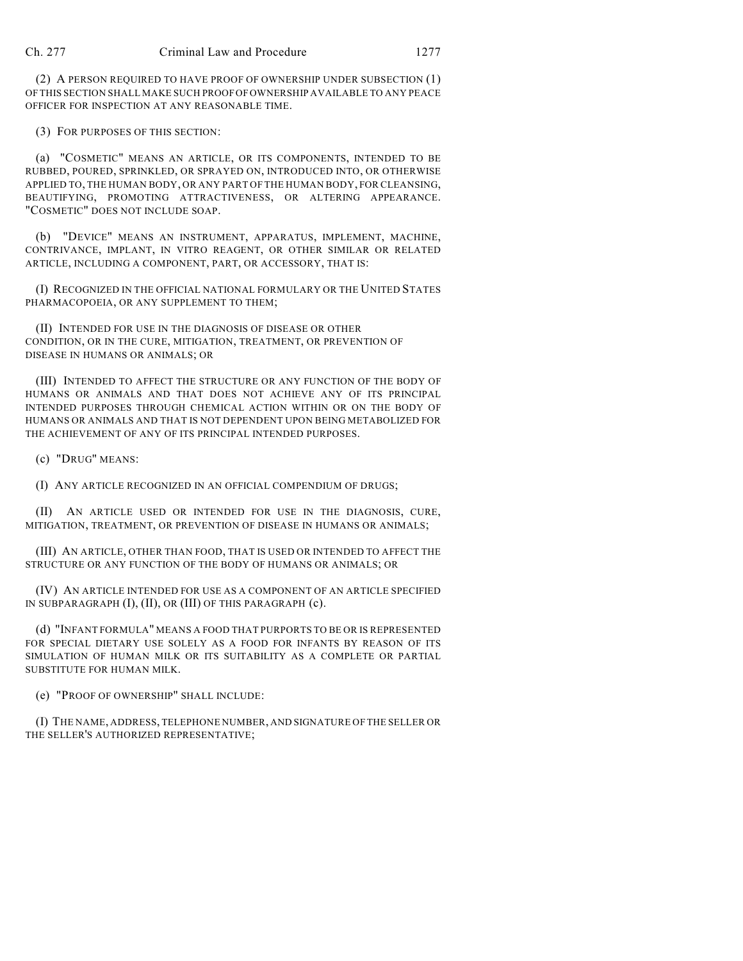(2) A PERSON REQUIRED TO HAVE PROOF OF OWNERSHIP UNDER SUBSECTION (1) OF THIS SECTION SHALL MAKE SUCH PROOF OF OWNERSHIP AVAILABLE TO ANY PEACE OFFICER FOR INSPECTION AT ANY REASONABLE TIME.

(3) FOR PURPOSES OF THIS SECTION:

(a) "COSMETIC" MEANS AN ARTICLE, OR ITS COMPONENTS, INTENDED TO BE RUBBED, POURED, SPRINKLED, OR SPRAYED ON, INTRODUCED INTO, OR OTHERWISE APPLIED TO, THE HUMAN BODY, OR ANY PART OF THE HUMAN BODY, FOR CLEANSING, BEAUTIFYING, PROMOTING ATTRACTIVENESS, OR ALTERING APPEARANCE. "COSMETIC" DOES NOT INCLUDE SOAP.

(b) "DEVICE" MEANS AN INSTRUMENT, APPARATUS, IMPLEMENT, MACHINE, CONTRIVANCE, IMPLANT, IN VITRO REAGENT, OR OTHER SIMILAR OR RELATED ARTICLE, INCLUDING A COMPONENT, PART, OR ACCESSORY, THAT IS:

(I) RECOGNIZED IN THE OFFICIAL NATIONAL FORMULARY OR THE UNITED STATES PHARMACOPOEIA, OR ANY SUPPLEMENT TO THEM;

(II) INTENDED FOR USE IN THE DIAGNOSIS OF DISEASE OR OTHER CONDITION, OR IN THE CURE, MITIGATION, TREATMENT, OR PREVENTION OF DISEASE IN HUMANS OR ANIMALS; OR

(III) INTENDED TO AFFECT THE STRUCTURE OR ANY FUNCTION OF THE BODY OF HUMANS OR ANIMALS AND THAT DOES NOT ACHIEVE ANY OF ITS PRINCIPAL INTENDED PURPOSES THROUGH CHEMICAL ACTION WITHIN OR ON THE BODY OF HUMANS OR ANIMALS AND THAT IS NOT DEPENDENT UPON BEING METABOLIZED FOR THE ACHIEVEMENT OF ANY OF ITS PRINCIPAL INTENDED PURPOSES.

(c) "DRUG" MEANS:

(I) ANY ARTICLE RECOGNIZED IN AN OFFICIAL COMPENDIUM OF DRUGS;

(II) AN ARTICLE USED OR INTENDED FOR USE IN THE DIAGNOSIS, CURE, MITIGATION, TREATMENT, OR PREVENTION OF DISEASE IN HUMANS OR ANIMALS;

(III) AN ARTICLE, OTHER THAN FOOD, THAT IS USED OR INTENDED TO AFFECT THE STRUCTURE OR ANY FUNCTION OF THE BODY OF HUMANS OR ANIMALS; OR

(IV) AN ARTICLE INTENDED FOR USE AS A COMPONENT OF AN ARTICLE SPECIFIED IN SUBPARAGRAPH (I), (II), OR (III) OF THIS PARAGRAPH (c).

(d) "INFANT FORMULA" MEANS A FOOD THAT PURPORTS TO BE OR IS REPRESENTED FOR SPECIAL DIETARY USE SOLELY AS A FOOD FOR INFANTS BY REASON OF ITS SIMULATION OF HUMAN MILK OR ITS SUITABILITY AS A COMPLETE OR PARTIAL SUBSTITUTE FOR HUMAN MILK.

(e) "PROOF OF OWNERSHIP" SHALL INCLUDE:

(I) THE NAME, ADDRESS, TELEPHONE NUMBER, AND SIGNATURE OF THE SELLER OR THE SELLER'S AUTHORIZED REPRESENTATIVE;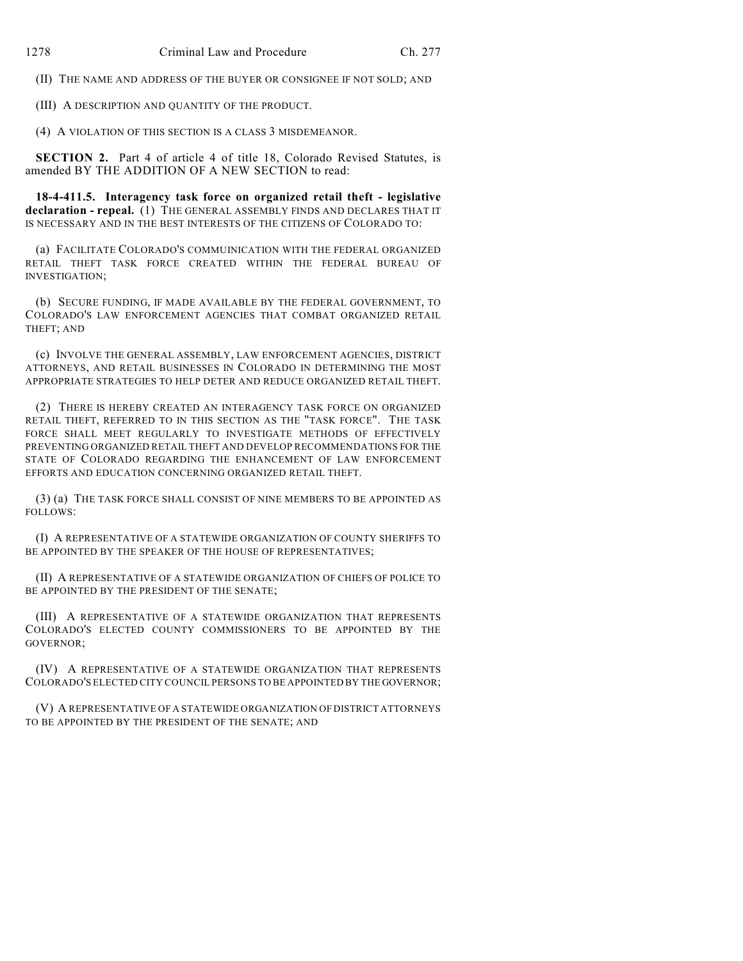(II) THE NAME AND ADDRESS OF THE BUYER OR CONSIGNEE IF NOT SOLD; AND

(III) A DESCRIPTION AND QUANTITY OF THE PRODUCT.

(4) A VIOLATION OF THIS SECTION IS A CLASS 3 MISDEMEANOR.

**SECTION 2.** Part 4 of article 4 of title 18, Colorado Revised Statutes, is amended BY THE ADDITION OF A NEW SECTION to read:

**18-4-411.5. Interagency task force on organized retail theft - legislative declaration - repeal.** (1) THE GENERAL ASSEMBLY FINDS AND DECLARES THAT IT IS NECESSARY AND IN THE BEST INTERESTS OF THE CITIZENS OF COLORADO TO:

(a) FACILITATE COLORADO'S COMMUINICATION WITH THE FEDERAL ORGANIZED RETAIL THEFT TASK FORCE CREATED WITHIN THE FEDERAL BUREAU OF INVESTIGATION;

(b) SECURE FUNDING, IF MADE AVAILABLE BY THE FEDERAL GOVERNMENT, TO COLORADO'S LAW ENFORCEMENT AGENCIES THAT COMBAT ORGANIZED RETAIL THEFT; AND

(c) INVOLVE THE GENERAL ASSEMBLY, LAW ENFORCEMENT AGENCIES, DISTRICT ATTORNEYS, AND RETAIL BUSINESSES IN COLORADO IN DETERMINING THE MOST APPROPRIATE STRATEGIES TO HELP DETER AND REDUCE ORGANIZED RETAIL THEFT.

(2) THERE IS HEREBY CREATED AN INTERAGENCY TASK FORCE ON ORGANIZED RETAIL THEFT, REFERRED TO IN THIS SECTION AS THE "TASK FORCE". THE TASK FORCE SHALL MEET REGULARLY TO INVESTIGATE METHODS OF EFFECTIVELY PREVENTING ORGANIZED RETAIL THEFT AND DEVELOP RECOMMENDATIONS FOR THE STATE OF COLORADO REGARDING THE ENHANCEMENT OF LAW ENFORCEMENT EFFORTS AND EDUCATION CONCERNING ORGANIZED RETAIL THEFT.

(3) (a) THE TASK FORCE SHALL CONSIST OF NINE MEMBERS TO BE APPOINTED AS FOLLOWS:

(I) A REPRESENTATIVE OF A STATEWIDE ORGANIZATION OF COUNTY SHERIFFS TO BE APPOINTED BY THE SPEAKER OF THE HOUSE OF REPRESENTATIVES:

(II) A REPRESENTATIVE OF A STATEWIDE ORGANIZATION OF CHIEFS OF POLICE TO BE APPOINTED BY THE PRESIDENT OF THE SENATE;

(III) A REPRESENTATIVE OF A STATEWIDE ORGANIZATION THAT REPRESENTS COLORADO'S ELECTED COUNTY COMMISSIONERS TO BE APPOINTED BY THE GOVERNOR;

(IV) A REPRESENTATIVE OF A STATEWIDE ORGANIZATION THAT REPRESENTS COLORADO'S ELECTED CITY COUNCIL PERSONS TO BE APPOINTED BY THE GOVERNOR;

(V) A REPRESENTATIVE OF A STATEWIDE ORGANIZATION OF DISTRICT ATTORNEYS TO BE APPOINTED BY THE PRESIDENT OF THE SENATE; AND